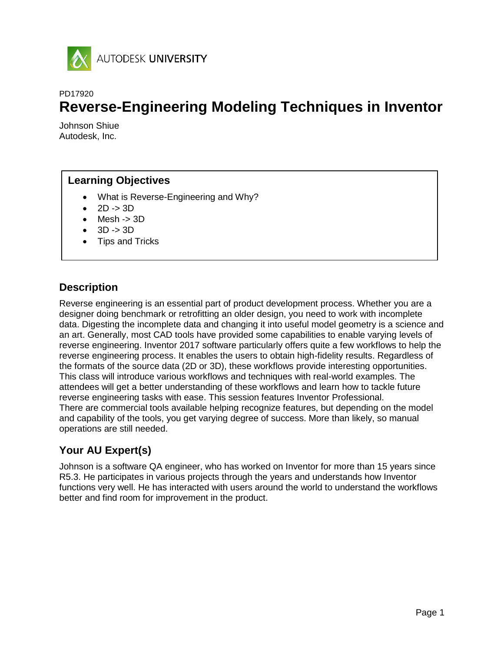

## PD17920

# **Reverse-Engineering Modeling Techniques in Inventor**

Johnson Shiue Autodesk, Inc.

# **Learning Objectives**

- What is Reverse-Engineering and Why?
- 2D -> 3D
- Mesh -> 3D
- 3D -> 3D
- Tips and Tricks

# **Description**

Reverse engineering is an essential part of product development process. Whether you are a designer doing benchmark or retrofitting an older design, you need to work with incomplete data. Digesting the incomplete data and changing it into useful model geometry is a science and an art. Generally, most CAD tools have provided some capabilities to enable varying levels of reverse engineering. Inventor 2017 software particularly offers quite a few workflows to help the reverse engineering process. It enables the users to obtain high-fidelity results. Regardless of the formats of the source data (2D or 3D), these workflows provide interesting opportunities. This class will introduce various workflows and techniques with real-world examples. The attendees will get a better understanding of these workflows and learn how to tackle future reverse engineering tasks with ease. This session features Inventor Professional. There are commercial tools available helping recognize features, but depending on the model and capability of the tools, you get varying degree of success. More than likely, so manual operations are still needed.

# **Your AU Expert(s)**

Johnson is a software QA engineer, who has worked on Inventor for more than 15 years since R5.3. He participates in various projects through the years and understands how Inventor functions very well. He has interacted with users around the world to understand the workflows better and find room for improvement in the product.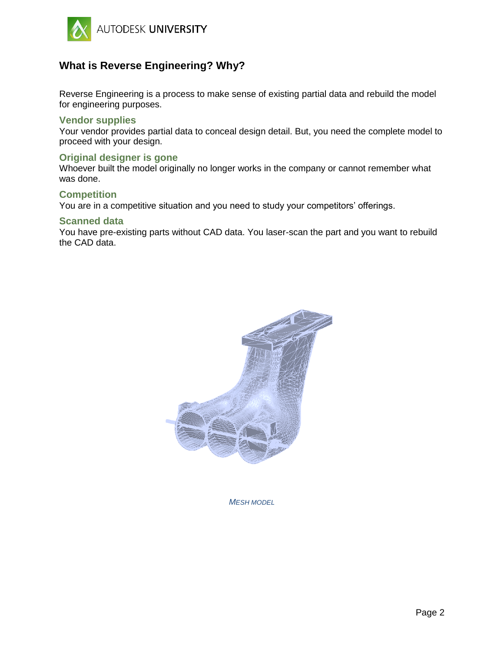

# **What is Reverse Engineering? Why?**

Reverse Engineering is a process to make sense of existing partial data and rebuild the model for engineering purposes.

## **Vendor supplies**

Your vendor provides partial data to conceal design detail. But, you need the complete model to proceed with your design.

## **Original designer is gone**

Whoever built the model originally no longer works in the company or cannot remember what was done.

#### **Competition**

You are in a competitive situation and you need to study your competitors' offerings.

#### **Scanned data**

You have pre-existing parts without CAD data. You laser-scan the part and you want to rebuild the CAD data.



*MESH MODEL*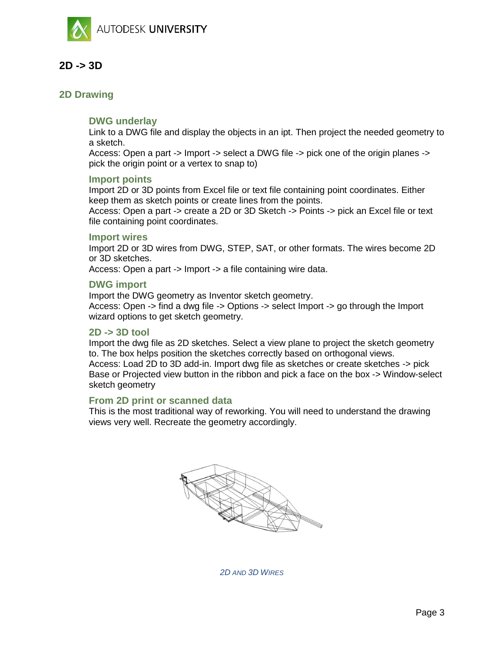

# **2D -> 3D**

# **2D Drawing**

# **DWG underlay**

Link to a DWG file and display the objects in an ipt. Then project the needed geometry to a sketch.

Access: Open a part -> Import -> select a DWG file -> pick one of the origin planes -> pick the origin point or a vertex to snap to)

## **Import points**

Import 2D or 3D points from Excel file or text file containing point coordinates. Either keep them as sketch points or create lines from the points.

Access: Open a part -> create a 2D or 3D Sketch -> Points -> pick an Excel file or text file containing point coordinates.

## **Import wires**

Import 2D or 3D wires from DWG, STEP, SAT, or other formats. The wires become 2D or 3D sketches.

Access: Open a part -> Import -> a file containing wire data.

## **DWG import**

Import the DWG geometry as Inventor sketch geometry. Access: Open -> find a dwg file -> Options -> select Import -> go through the Import wizard options to get sketch geometry.

## **2D -> 3D tool**

Import the dwg file as 2D sketches. Select a view plane to project the sketch geometry to. The box helps position the sketches correctly based on orthogonal views. Access: Load 2D to 3D add-in. Import dwg file as sketches or create sketches -> pick Base or Projected view button in the ribbon and pick a face on the box -> Window-select sketch geometry

## **From 2D print or scanned data**

This is the most traditional way of reworking. You will need to understand the drawing views very well. Recreate the geometry accordingly.



*2D AND 3D WIRES*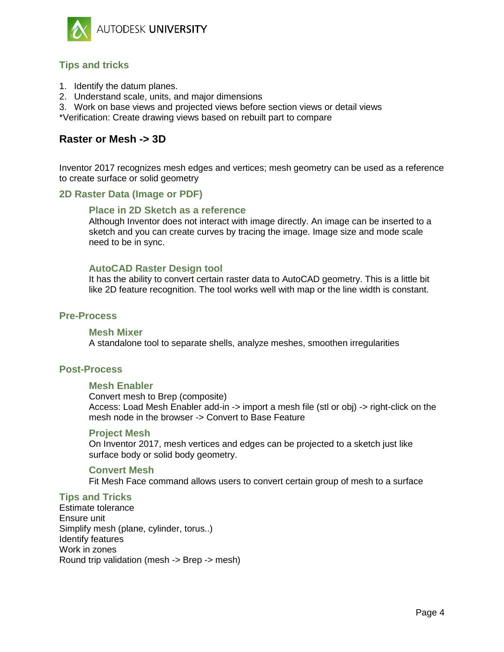

# **Tips and tricks**

- 1. Identify the datum planes.
- 2. Understand scale, units, and major dimensions
- 3. Work on base views and projected views before section views or detail views
- \*Verification: Create drawing views based on rebuilt part to compare

# **Raster or Mesh -> 3D**

Inventor 2017 recognizes mesh edges and vertices; mesh geometry can be used as a reference to create surface or solid geometry

# **2D Raster Data (Image or PDF)**

# **Place in 2D Sketch as a reference**

Although Inventor does not interact with image directly. An image can be inserted to a sketch and you can create curves by tracing the image. Image size and mode scale need to be in sync.

# **AutoCAD Raster Design tool**

It has the ability to convert certain raster data to AutoCAD geometry. This is a little bit like 2D feature recognition. The tool works well with map or the line width is constant.

# **Pre-Process**

## **Mesh Mixer**

A standalone tool to separate shells, analyze meshes, smoothen irregularities

# **Post-Process**

## **Mesh Enabler**

Convert mesh to Brep (composite) Access: Load Mesh Enabler add-in -> import a mesh file (stl or obj) -> right-click on the mesh node in the browser -> Convert to Base Feature

#### **Project Mesh**

On Inventor 2017, mesh vertices and edges can be projected to a sketch just like surface body or solid body geometry.

## **Convert Mesh**

Fit Mesh Face command allows users to convert certain group of mesh to a surface

## **Tips and Tricks**

Estimate tolerance Ensure unit Simplify mesh (plane, cylinder, torus..) Identify features Work in zones Round trip validation (mesh -> Brep -> mesh)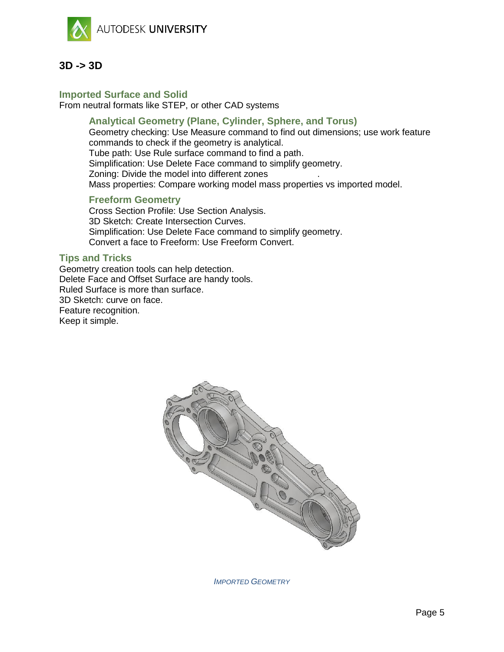



# **Imported Surface and Solid**

From neutral formats like STEP, or other CAD systems

# **Analytical Geometry (Plane, Cylinder, Sphere, and Torus)**

Geometry checking: Use Measure command to find out dimensions; use work feature commands to check if the geometry is analytical. Tube path: Use Rule surface command to find a path.

Simplification: Use Delete Face command to simplify geometry.

Zoning: Divide the model into different zones .

Mass properties: Compare working model mass properties vs imported model.

# **Freeform Geometry**

Cross Section Profile: Use Section Analysis. 3D Sketch: Create Intersection Curves. Simplification: Use Delete Face command to simplify geometry. Convert a face to Freeform: Use Freeform Convert.

# **Tips and Tricks**

Geometry creation tools can help detection. Delete Face and Offset Surface are handy tools. Ruled Surface is more than surface. 3D Sketch: curve on face. Feature recognition. Keep it simple.



*IMPORTED GEOMETRY*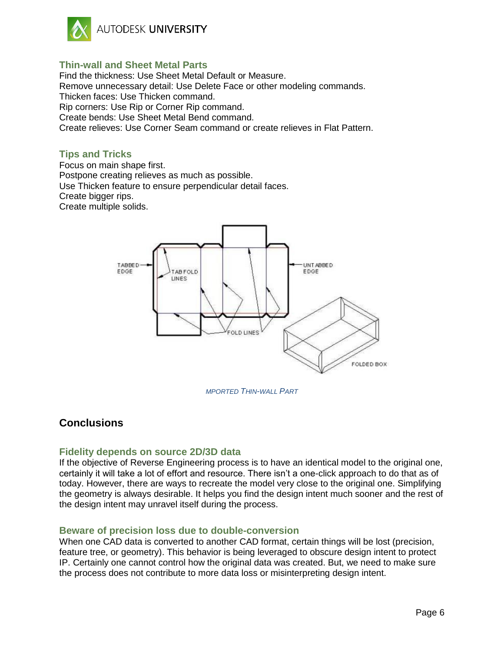

# **Thin-wall and Sheet Metal Parts**

Find the thickness: Use Sheet Metal Default or Measure. Remove unnecessary detail: Use Delete Face or other modeling commands. Thicken faces: Use Thicken command. Rip corners: Use Rip or Corner Rip command. Create bends: Use Sheet Metal Bend command.

Create relieves: Use Corner Seam command or create relieves in Flat Pattern.

# **Tips and Tricks**

Focus on main shape first. Postpone creating relieves as much as possible. Use Thicken feature to ensure perpendicular detail faces. Create bigger rips. Create multiple solids.



*MPORTED THIN-WALL PART*

# **Conclusions**

# **Fidelity depends on source 2D/3D data**

If the objective of Reverse Engineering process is to have an identical model to the original one, certainly it will take a lot of effort and resource. There isn't a one-click approach to do that as of today. However, there are ways to recreate the model very close to the original one. Simplifying the geometry is always desirable. It helps you find the design intent much sooner and the rest of the design intent may unravel itself during the process.

## **Beware of precision loss due to double-conversion**

When one CAD data is converted to another CAD format, certain things will be lost (precision, feature tree, or geometry). This behavior is being leveraged to obscure design intent to protect IP. Certainly one cannot control how the original data was created. But, we need to make sure the process does not contribute to more data loss or misinterpreting design intent.